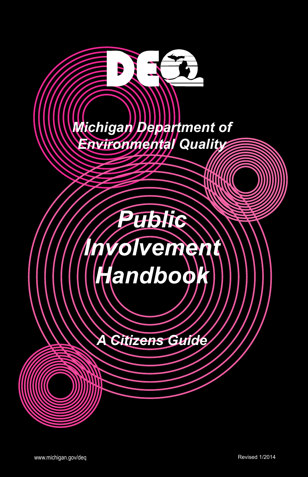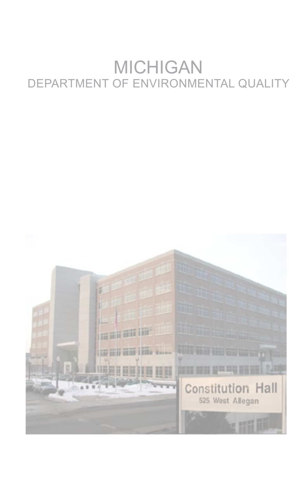# MICHIGAN DEPARTMENT OF ENVIRONMENTAL QUALITY

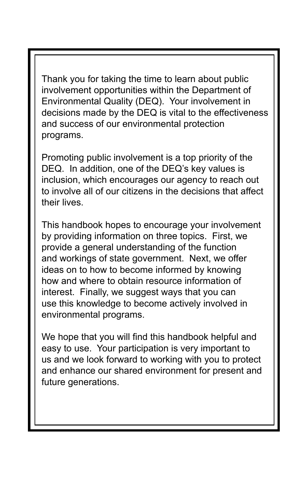Thank you for taking the time to learn about public involvement opportunities within the Department of Environmental Quality (DEQ). Your involvement in decisions made by the DEQ is vital to the effectiveness and success of our environmental protection programs.

Promoting public involvement is a top priority of the DEQ. In addition, one of the DEQ's key values is inclusion, which encourages our agency to reach out to involve all of our citizens in the decisions that affect their lives.

This handbook hopes to encourage your involvement by providing information on three topics. First, we provide a general understanding of the function and workings of state government. Next, we offer ideas on to how to become informed by knowing how and where to obtain resource information of interest. Finally, we suggest ways that you can use this knowledge to become actively involved in environmental programs.

We hope that you will find this handbook helpful and easy to use. Your participation is very important to us and we look forward to working with you to protect and enhance our shared environment for present and future generations.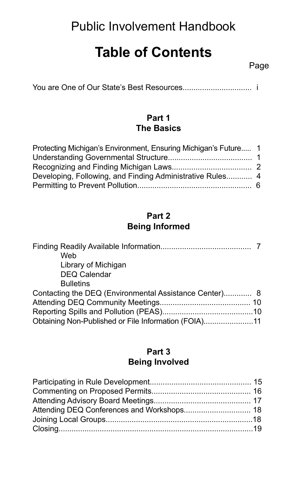# Public Involvement Handbook

# **Table of Contents**

You are One of Our State's Best Resources................................ i

#### **Part 1 The Basics**

| Protecting Michigan's Environment, Ensuring Michigan's Future 1 |  |
|-----------------------------------------------------------------|--|
|                                                                 |  |
|                                                                 |  |
|                                                                 |  |
|                                                                 |  |

#### **Part 2 Being Informed**

| Web                                                    |  |
|--------------------------------------------------------|--|
| Library of Michigan                                    |  |
| <b>DEQ Calendar</b>                                    |  |
| <b>Bulletins</b>                                       |  |
| Contacting the DEQ (Environmental Assistance Center) 8 |  |
|                                                        |  |
|                                                        |  |
| Obtaining Non-Published or File Information (FOIA)11   |  |

#### **Part 3 Being Involved**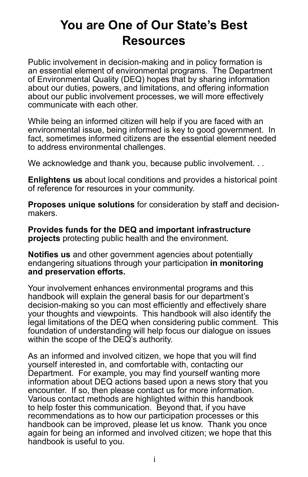# **You are One of Our State's Best Resources**

Public involvement in decision-making and in policy formation is an essential element of environmental programs. The Department of Environmental Quality (DEQ) hopes that by sharing information about our duties, powers, and limitations, and offering information about our public involvement processes, we will more effectively communicate with each other.

While being an informed citizen will help if you are faced with an environmental issue, being informed is key to good government. In fact, sometimes informed citizens are the essential element needed to address environmental challenges.

We acknowledge and thank you, because public involvement. . .

**Enlightens us** about local conditions and provides a historical point of reference for resources in your community.

**Proposes unique solutions** for consideration by staff and decisionmakers.

**Provides funds for the DEQ and important infrastructure projects** protecting public health and the environment.

**Notifies us** and other government agencies about potentially endangering situations through your participation **in monitoring and preservation efforts.** 

Your involvement enhances environmental programs and this handbook will explain the general basis for our department's decision-making so you can most efficiently and effectively share your thoughts and viewpoints. This handbook will also identify the legal limitations of the DEQ when considering public comment. This foundation of understanding will help focus our dialogue on issues within the scope of the DEQ's authority.

As an informed and involved citizen, we hope that you will find yourself interested in, and comfortable with, contacting our Department. For example, you may find yourself wanting more information about DEQ actions based upon a news story that you encounter. If so, then please contact us for more information. Various contact methods are highlighted within this handbook to help foster this communication. Beyond that, if you have recommendations as to how our participation processes or this handbook can be improved, please let us know. Thank you once again for being an informed and involved citizen; we hope that this handbook is useful to you.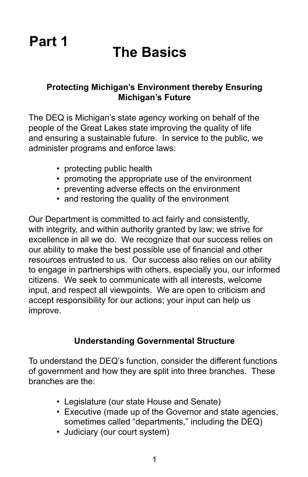# **The Basics**

### **Protecting Michigan's Environment thereby Ensuring Michigan's Future**

The DEQ is Michigan's state agency working on behalf of the people of the Great Lakes state improving the quality of life and ensuring a sustainable future. In service to the public, we administer programs and enforce laws:

- protecting public health
- promoting the appropriate use of the environment
- preventing adverse effects on the environment
- and restoring the quality of the environment

Our Department is committed to act fairly and consistently, with integrity, and within authority granted by law; we strive for excellence in all we do. We recognize that our success relies on our ability to make the best possible use of financial and other resources entrusted to us. Our success also relies on our ability to engage in partnerships with others, especially you, our informed citizens. We seek to communicate with all interests, welcome input, and respect all viewpoints. We are open to criticism and accept responsibility for our actions; your input can help us improve.

## **Understanding Governmental Structure**

To understand the DEQ's function, consider the different functions of government and how they are split into three branches. These branches are the:

- Legislature (our state House and Senate)
- Executive (made up of the Governor and state agencies, sometimes called "departments," including the DEQ)
- Judiciary (our court system)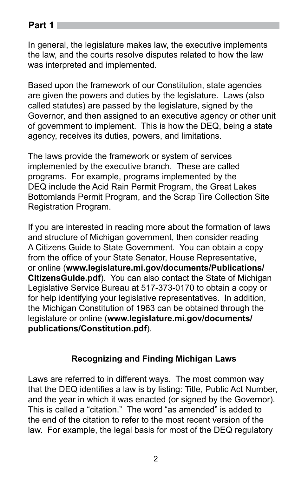In general, the legislature makes law, the executive implements the law, and the courts resolve disputes related to how the law was interpreted and implemented.

Based upon the framework of our Constitution, state agencies are given the powers and duties by the legislature. Laws (also called statutes) are passed by the legislature, signed by the Governor, and then assigned to an executive agency or other unit of government to implement. This is how the DEQ, being a state agency, receives its duties, powers, and limitations.

The laws provide the framework or system of services implemented by the executive branch. These are called programs. For example, programs implemented by the DEQ include the Acid Rain Permit Program, the Great Lakes Bottomlands Permit Program, and the Scrap Tire Collection Site Registration Program.

If you are interested in reading more about the formation of laws and structure of Michigan government, then consider reading A Citizens Guide to State Government. You can obtain a copy from the office of your State Senator, House Representative, or online (**www.legislature.mi.gov/documents/Publications/ CitizensGuide.pdf**). You can also contact the State of Michigan Legislative Service Bureau at 517-373-0170 to obtain a copy or for help identifying your legislative representatives. In addition, the Michigan Constitution of 1963 can be obtained through the legislature or online (**www.legislature.mi.gov/documents/ publications/Constitution.pdf**).

## **Recognizing and Finding Michigan Laws**

Laws are referred to in different ways. The most common way that the DEQ identifies a law is by listing: Title, Public Act Number, and the year in which it was enacted (or signed by the Governor). This is called a "citation." The word "as amended" is added to the end of the citation to refer to the most recent version of the law. For example, the legal basis for most of the DEQ regulatory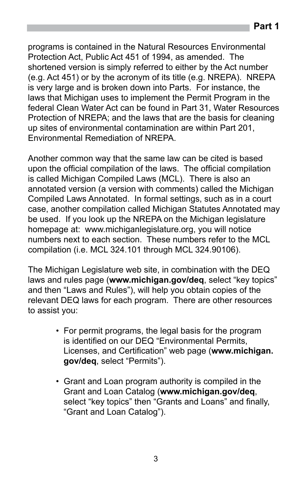programs is contained in the Natural Resources Environmental Protection Act, Public Act 451 of 1994, as amended. The shortened version is simply referred to either by the Act number (e.g. Act 451) or by the acronym of its title (e.g. NREPA). NREPA is very large and is broken down into Parts. For instance, the laws that Michigan uses to implement the Permit Program in the federal Clean Water Act can be found in Part 31, Water Resources Protection of NREPA; and the laws that are the basis for cleaning up sites of environmental contamination are within Part 201, Environmental Remediation of NREPA.

Another common way that the same law can be cited is based upon the official compilation of the laws. The official compilation is called Michigan Compiled Laws (MCL). There is also an annotated version (a version with comments) called the Michigan Compiled Laws Annotated. In formal settings, such as in a court case, another compilation called Michigan Statutes Annotated may be used. If you look up the NREPA on the Michigan legislature homepage at: www.michiganlegislature.org, you will notice numbers next to each section. These numbers refer to the MCL compilation (i.e. MCL 324.101 through MCL 324.90106).

The Michigan Legislature web site, in combination with the DEQ laws and rules page (**www.michigan.gov/deq**, select "key topics" and then "Laws and Rules"), will help you obtain copies of the relevant DEQ laws for each program. There are other resources to assist you:

- For permit programs, the legal basis for the program is identified on our DEQ "Environmental Permits, Licenses, and Certification" web page (**www.michigan. gov/deq**, select "Permits").
- Grant and Loan program authority is compiled in the Grant and Loan Catalog (**www.michigan.gov/deq**, select "key topics" then "Grants and Loans" and finally, "Grant and Loan Catalog").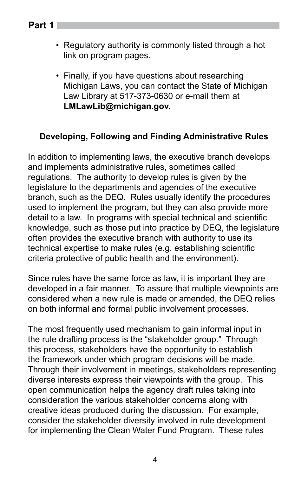- **Part 1**
- Regulatory authority is commonly listed through a hot link on program pages.
- Finally, if you have questions about researching Michigan Laws, you can contact the State of Michigan Law Library at 517-373-0630 or e-mail them at **LMLawLib@michigan.gov.**

## **Developing, Following and Finding Administrative Rules**

In addition to implementing laws, the executive branch develops and implements administrative rules, sometimes called regulations. The authority to develop rules is given by the legislature to the departments and agencies of the executive branch, such as the DEQ. Rules usually identify the procedures used to implement the program, but they can also provide more detail to a law. In programs with special technical and scientific knowledge, such as those put into practice by DEQ, the legislature often provides the executive branch with authority to use its technical expertise to make rules (e.g. establishing scientific criteria protective of public health and the environment).

Since rules have the same force as law, it is important they are developed in a fair manner. To assure that multiple viewpoints are considered when a new rule is made or amended, the DEQ relies on both informal and formal public involvement processes.

The most frequently used mechanism to gain informal input in the rule drafting process is the "stakeholder group." Through this process, stakeholders have the opportunity to establish the framework under which program decisions will be made. Through their involvement in meetings, stakeholders representing diverse interests express their viewpoints with the group. This open communication helps the agency draft rules taking into consideration the various stakeholder concerns along with creative ideas produced during the discussion. For example, consider the stakeholder diversity involved in rule development for implementing the Clean Water Fund Program. These rules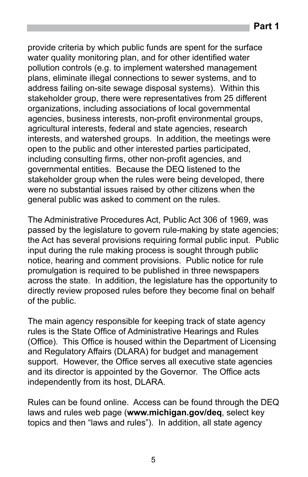provide criteria by which public funds are spent for the surface water quality monitoring plan, and for other identified water pollution controls (e.g. to implement watershed management plans, eliminate illegal connections to sewer systems, and to address failing on-site sewage disposal systems). Within this stakeholder group, there were representatives from 25 different organizations, including associations of local governmental agencies, business interests, non-profit environmental groups, agricultural interests, federal and state agencies, research interests, and watershed groups. In addition, the meetings were open to the public and other interested parties participated, including consulting firms, other non-profit agencies, and governmental entities. Because the DEQ listened to the stakeholder group when the rules were being developed, there were no substantial issues raised by other citizens when the general public was asked to comment on the rules.

The Administrative Procedures Act, Public Act 306 of 1969, was passed by the legislature to govern rule-making by state agencies; the Act has several provisions requiring formal public input. Public input during the rule making process is sought through public notice, hearing and comment provisions. Public notice for rule promulgation is required to be published in three newspapers across the state. In addition, the legislature has the opportunity to directly review proposed rules before they become final on behalf of the public.

The main agency responsible for keeping track of state agency rules is the State Office of Administrative Hearings and Rules (Office). This Office is housed within the Department of Licensing and Regulatory Affairs (DLARA) for budget and management support. However, the Office serves all executive state agencies and its director is appointed by the Governor. The Office acts independently from its host, DLARA.

Rules can be found online. Access can be found through the DEQ laws and rules web page (**www.michigan.gov/deq**, select key topics and then "laws and rules"). In addition, all state agency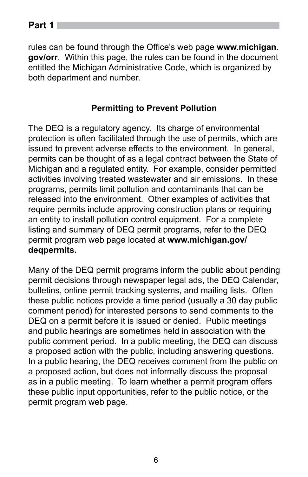rules can be found through the Office's web page **www.michigan. gov/orr**. Within this page, the rules can be found in the document entitled the Michigan Administrative Code, which is organized by both department and number.

#### **Permitting to Prevent Pollution**

The DEQ is a regulatory agency. Its charge of environmental protection is often facilitated through the use of permits, which are issued to prevent adverse effects to the environment. In general, permits can be thought of as a legal contract between the State of Michigan and a regulated entity. For example, consider permitted activities involving treated wastewater and air emissions. In these programs, permits limit pollution and contaminants that can be released into the environment. Other examples of activities that require permits include approving construction plans or requiring an entity to install pollution control equipment. For a complete listing and summary of DEQ permit programs, refer to the DEQ permit program web page located at **www.michigan.gov/ deqpermits.** 

Many of the DEQ permit programs inform the public about pending permit decisions through newspaper legal ads, the DEQ Calendar, bulletins, online permit tracking systems, and mailing lists. Often these public notices provide a time period (usually a 30 day public comment period) for interested persons to send comments to the DEQ on a permit before it is issued or denied. Public meetings and public hearings are sometimes held in association with the public comment period. In a public meeting, the DEQ can discuss a proposed action with the public, including answering questions. In a public hearing, the DEQ receives comment from the public on a proposed action, but does not informally discuss the proposal as in a public meeting. To learn whether a permit program offers these public input opportunities, refer to the public notice, or the permit program web page.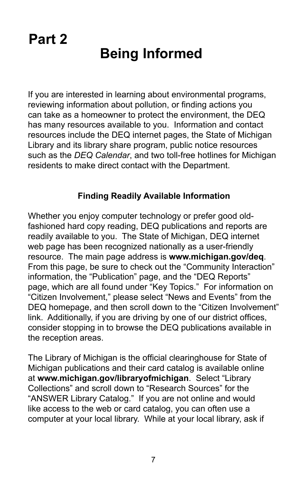# **Being Informed**

If you are interested in learning about environmental programs, reviewing information about pollution, or finding actions you can take as a homeowner to protect the environment, the DEQ has many resources available to you. Information and contact resources include the DEQ internet pages, the State of Michigan Library and its library share program, public notice resources such as the *DEQ Calendar*, and two toll-free hotlines for Michigan residents to make direct contact with the Department.

## **Finding Readily Available Information**

Whether you enjoy computer technology or prefer good oldfashioned hard copy reading, DEQ publications and reports are readily available to you. The State of Michigan, DEQ internet web page has been recognized nationally as a user-friendly resource. The main page address is **www.michigan.gov/deq**. From this page, be sure to check out the "Community Interaction" information, the "Publication" page, and the "DEQ Reports" page, which are all found under "Key Topics." For information on "Citizen Involvement," please select "News and Events" from the DEQ homepage, and then scroll down to the "Citizen Involvement" link. Additionally, if you are driving by one of our district offices, consider stopping in to browse the DEQ publications available in the reception areas.

The Library of Michigan is the official clearinghouse for State of Michigan publications and their card catalog is available online at **www.michigan.gov/libraryofmichigan**. Select "Library Collections" and scroll down to "Research Sources" for the "ANSWER Library Catalog." If you are not online and would like access to the web or card catalog, you can often use a computer at your local library. While at your local library, ask if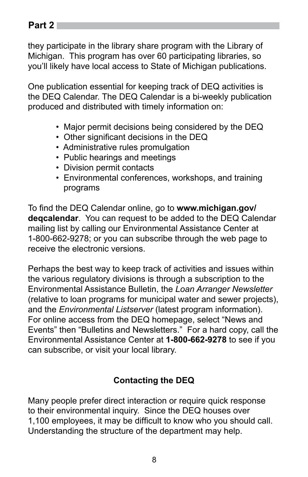they participate in the library share program with the Library of Michigan. This program has over 60 participating libraries, so you'll likely have local access to State of Michigan publications.

One publication essential for keeping track of DEQ activities is the DEQ Calendar. The DEQ Calendar is a bi-weekly publication produced and distributed with timely information on:

- Major permit decisions being considered by the DEQ
- Other significant decisions in the DEQ
- Administrative rules promulgation
- Public hearings and meetings
- Division permit contacts
- Environmental conferences, workshops, and training programs

To find the DEQ Calendar online, go to **www.michigan.gov/ deqcalendar**. You can request to be added to the DEQ Calendar mailing list by calling our Environmental Assistance Center at 1-800-662-9278; or you can subscribe through the web page to receive the electronic versions.

Perhaps the best way to keep track of activities and issues within the various regulatory divisions is through a subscription to the Environmental Assistance Bulletin, the *Loan Arranger Newsletter* (relative to loan programs for municipal water and sewer projects), and the *Environmental Listserver* (latest program information). For online access from the DEQ homepage, select "News and Events" then "Bulletins and Newsletters." For a hard copy, call the Environmental Assistance Center at **1-800-662-9278** to see if you can subscribe, or visit your local library.

# **Contacting the DEQ**

Many people prefer direct interaction or require quick response to their environmental inquiry. Since the DEQ houses over 1,100 employees, it may be difficult to know who you should call. Understanding the structure of the department may help.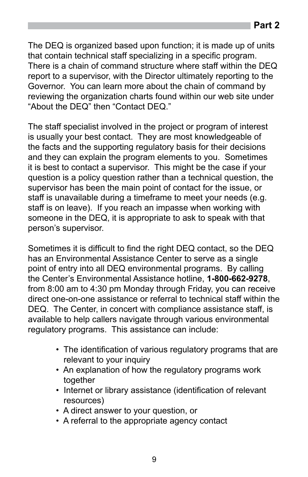The DEQ is organized based upon function; it is made up of units that contain technical staff specializing in a specific program.

**Part 2**

There is a chain of command structure where staff within the DEQ report to a supervisor, with the Director ultimately reporting to the Governor. You can learn more about the chain of command by reviewing the organization charts found within our web site under "About the DEQ" then "Contact DEQ."

The staff specialist involved in the project or program of interest is usually your best contact. They are most knowledgeable of the facts and the supporting regulatory basis for their decisions and they can explain the program elements to you. Sometimes it is best to contact a supervisor. This might be the case if your question is a policy question rather than a technical question, the supervisor has been the main point of contact for the issue, or staff is unavailable during a timeframe to meet your needs (e.g. staff is on leave). If you reach an impasse when working with someone in the DEQ, it is appropriate to ask to speak with that person's supervisor.

Sometimes it is difficult to find the right DEQ contact, so the DEQ has an Environmental Assistance Center to serve as a single point of entry into all DEQ environmental programs. By calling the Center's Environmental Assistance hotline, **1-800-662-9278**, from 8:00 am to 4:30 pm Monday through Friday, you can receive direct one-on-one assistance or referral to technical staff within the DEQ. The Center, in concert with compliance assistance staff, is available to help callers navigate through various environmental regulatory programs. This assistance can include:

- The identification of various regulatory programs that are relevant to your inquiry
- An explanation of how the regulatory programs work together
- Internet or library assistance (identification of relevant resources)
- A direct answer to your question, or
- A referral to the appropriate agency contact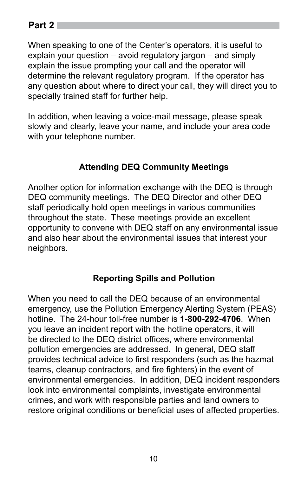When speaking to one of the Center's operators, it is useful to explain your question – avoid regulatory jargon – and simply explain the issue prompting your call and the operator will determine the relevant regulatory program. If the operator has any question about where to direct your call, they will direct you to specially trained staff for further help.

In addition, when leaving a voice-mail message, please speak slowly and clearly, leave your name, and include your area code with your telephone number.

# **Attending DEQ Community Meetings**

Another option for information exchange with the DEQ is through DEQ community meetings. The DEQ Director and other DEQ staff periodically hold open meetings in various communities throughout the state. These meetings provide an excellent opportunity to convene with DEQ staff on any environmental issue and also hear about the environmental issues that interest your neighbors.

## **Reporting Spills and Pollution**

When you need to call the DEQ because of an environmental emergency, use the Pollution Emergency Alerting System (PEAS) hotline. The 24-hour toll-free number is **1-800-292-4706**. When you leave an incident report with the hotline operators, it will be directed to the DEQ district offices, where environmental pollution emergencies are addressed. In general, DEQ staff provides technical advice to first responders (such as the hazmat teams, cleanup contractors, and fire fighters) in the event of environmental emergencies. In addition, DEQ incident responders look into environmental complaints, investigate environmental crimes, and work with responsible parties and land owners to restore original conditions or beneficial uses of affected properties.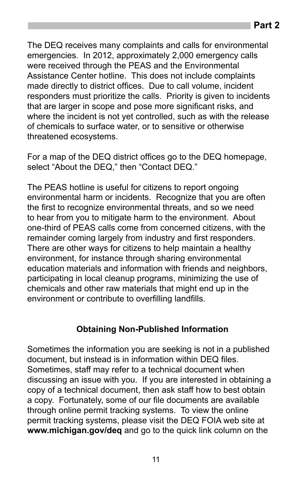The DEQ receives many complaints and calls for environmental emergencies. In 2012, approximately 2,000 emergency calls were received through the PEAS and the Environmental Assistance Center hotline. This does not include complaints made directly to district offices. Due to call volume, incident responders must prioritize the calls. Priority is given to incidents that are larger in scope and pose more significant risks, and where the incident is not yet controlled, such as with the release of chemicals to surface water, or to sensitive or otherwise threatened ecosystems.

For a map of the DEQ district offices go to the DEQ homepage, select "About the DEQ," then "Contact DEQ."

The PEAS hotline is useful for citizens to report ongoing environmental harm or incidents. Recognize that you are often the first to recognize environmental threats, and so we need to hear from you to mitigate harm to the environment. About one-third of PEAS calls come from concerned citizens, with the remainder coming largely from industry and first responders. There are other ways for citizens to help maintain a healthy environment, for instance through sharing environmental education materials and information with friends and neighbors, participating in local cleanup programs, minimizing the use of chemicals and other raw materials that might end up in the environment or contribute to overfilling landfills.

#### **Obtaining Non-Published Information**

Sometimes the information you are seeking is not in a published document, but instead is in information within DEQ files. Sometimes, staff may refer to a technical document when discussing an issue with you. If you are interested in obtaining a copy of a technical document, then ask staff how to best obtain a copy. Fortunately, some of our file documents are available through online permit tracking systems. To view the online permit tracking systems, please visit the DEQ FOIA web site at **www.michigan.gov/deq** and go to the quick link column on the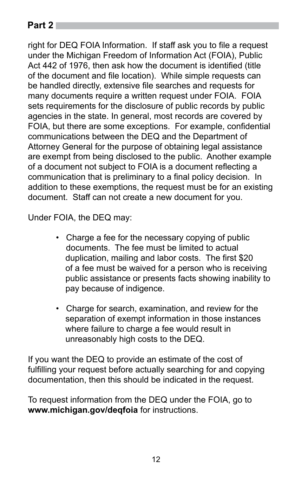right for DEQ FOIA Information. If staff ask you to file a request under the Michigan Freedom of Information Act (FOIA), Public Act 442 of 1976, then ask how the document is identified (title of the document and file location). While simple requests can be handled directly, extensive file searches and requests for many documents require a written request under FOIA. FOIA sets requirements for the disclosure of public records by public agencies in the state. In general, most records are covered by FOIA, but there are some exceptions. For example, confidential communications between the DEQ and the Department of Attorney General for the purpose of obtaining legal assistance are exempt from being disclosed to the public. Another example of a document not subject to FOIA is a document reflecting a communication that is preliminary to a final policy decision. In addition to these exemptions, the request must be for an existing document. Staff can not create a new document for you.

Under FOIA, the DEQ may:

- Charge a fee for the necessary copying of public documents. The fee must be limited to actual duplication, mailing and labor costs. The first \$20 of a fee must be waived for a person who is receiving public assistance or presents facts showing inability to pay because of indigence.
- Charge for search, examination, and review for the separation of exempt information in those instances where failure to charge a fee would result in unreasonably high costs to the DEQ.

If you want the DEQ to provide an estimate of the cost of fulfilling your request before actually searching for and copying documentation, then this should be indicated in the request.

To request information from the DEQ under the FOIA, go to **www.michigan.gov/deqfoia** for instructions.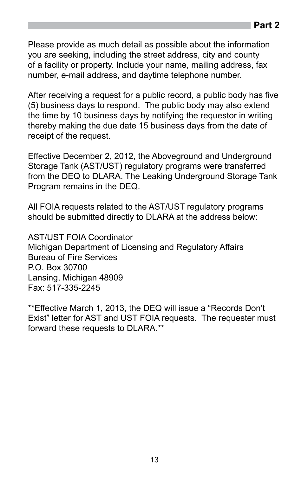Please provide as much detail as possible about the information you are seeking, including the street address, city and county of a facility or property. Include your name, mailing address, fax number, e-mail address, and daytime telephone number.

After receiving a request for a public record, a public body has five (5) business days to respond. The public body may also extend the time by 10 business days by notifying the requestor in writing thereby making the due date 15 business days from the date of receipt of the request.

Effective December 2, 2012, the Aboveground and Underground Storage Tank (AST/UST) regulatory programs were transferred from the DEQ to DLARA. The Leaking Underground Storage Tank Program remains in the DEQ.

All FOIA requests related to the AST/UST regulatory programs should be submitted directly to DLARA at the address below:

AST/UST FOIA Coordinator Michigan Department of Licensing and Regulatory Affairs Bureau of Fire Services P.O. Box 30700 Lansing, Michigan 48909 Fax: 517-335-2245

\*\*Effective March 1, 2013, the DEQ will issue a "Records Don't Exist" letter for AST and UST FOIA requests. The requester must forward these requests to DLARA.\*\*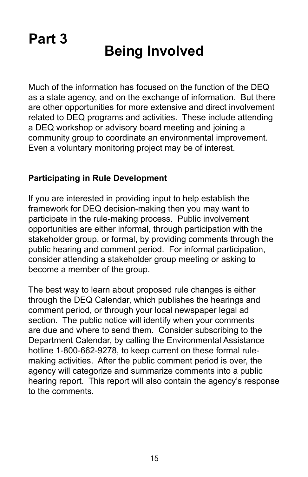# **Being Involved**

Much of the information has focused on the function of the DEQ as a state agency, and on the exchange of information. But there are other opportunities for more extensive and direct involvement related to DEQ programs and activities. These include attending a DEQ workshop or advisory board meeting and joining a community group to coordinate an environmental improvement. Even a voluntary monitoring project may be of interest.

#### **Participating in Rule Development**

If you are interested in providing input to help establish the framework for DEQ decision-making then you may want to participate in the rule-making process. Public involvement opportunities are either informal, through participation with the stakeholder group, or formal, by providing comments through the public hearing and comment period. For informal participation, consider attending a stakeholder group meeting or asking to become a member of the group.

The best way to learn about proposed rule changes is either through the DEQ Calendar, which publishes the hearings and comment period, or through your local newspaper legal ad section. The public notice will identify when your comments are due and where to send them. Consider subscribing to the Department Calendar, by calling the Environmental Assistance hotline 1-800-662-9278, to keep current on these formal rulemaking activities. After the public comment period is over, the agency will categorize and summarize comments into a public hearing report. This report will also contain the agency's response to the comments.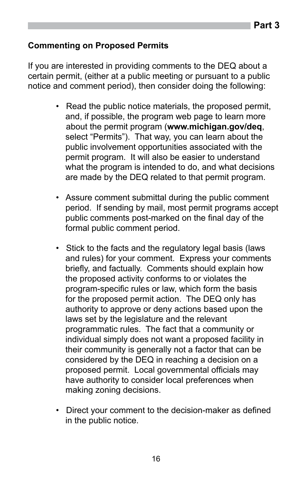#### **Commenting on Proposed Permits**

If you are interested in providing comments to the DEQ about a certain permit, (either at a public meeting or pursuant to a public notice and comment period), then consider doing the following:

- Read the public notice materials, the proposed permit, and, if possible, the program web page to learn more about the permit program (**www.michigan.gov/deq**, select "Permits"). That way, you can learn about the public involvement opportunities associated with the permit program. It will also be easier to understand what the program is intended to do, and what decisions are made by the DEQ related to that permit program.
- Assure comment submittal during the public comment period. If sending by mail, most permit programs accept public comments post-marked on the final day of the formal public comment period.
- Stick to the facts and the regulatory legal basis (laws and rules) for your comment. Express your comments briefly, and factually. Comments should explain how the proposed activity conforms to or violates the program-specific rules or law, which form the basis for the proposed permit action. The DEQ only has authority to approve or deny actions based upon the laws set by the legislature and the relevant programmatic rules. The fact that a community or individual simply does not want a proposed facility in their community is generally not a factor that can be considered by the DEQ in reaching a decision on a proposed permit. Local governmental officials may have authority to consider local preferences when making zoning decisions.
- Direct your comment to the decision-maker as defined in the public notice.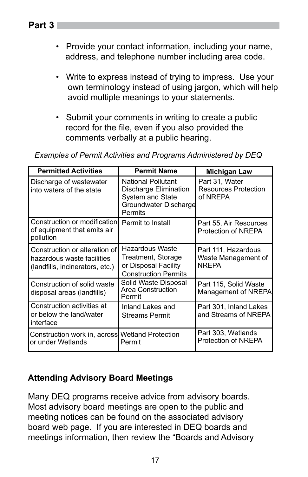- Provide your contact information, including your name, address, and telephone number including area code.
- Write to express instead of trying to impress. Use your own terminology instead of using jargon, which will help avoid multiple meanings to your statements.
- Submit your comments in writing to create a public record for the file, even if you also provided the comments verbally at a public hearing.

| <b>Permitted Activities</b>                                                                    | <b>Permit Name</b>                                                                                         | <b>Michigan Law</b>                                        |
|------------------------------------------------------------------------------------------------|------------------------------------------------------------------------------------------------------------|------------------------------------------------------------|
| Discharge of wastewater<br>into waters of the state                                            | <b>National Pollutant</b><br>Discharge Elimination<br>System and State<br>Groundwater Discharge<br>Permits | Part 31, Water<br><b>Resources Protection</b><br>of NREPA  |
| Construction or modification<br>of equipment that emits air<br>pollution                       | Permit to Install                                                                                          | Part 55, Air Resources<br>Protection of NREPA              |
| Construction or alteration of<br>hazardous waste facilities<br>(landfills, incinerators, etc.) | Hazardous Waste<br>Treatment, Storage<br>or Disposal Facility<br><b>Construction Permits</b>               | Part 111, Hazardous<br>Waste Management of<br><b>NRFPA</b> |
| Construction of solid waste<br>disposal areas (landfills)                                      | Solid Waste Disposal<br>Area Construction<br>Permit                                                        | Part 115, Solid Waste<br>Management of NREPA               |
| Construction activities at<br>or below the land/water<br>interface                             | Inland Lakes and<br><b>Streams Permit</b>                                                                  | Part 301, Inland Lakes<br>and Streams of NREPA             |
| Construction work in, across Wetland Protection<br>or under Wetlands                           | Permit                                                                                                     | Part 303, Wetlands<br>Protection of NREPA                  |

*Examples of Permit Activities and Programs Administered by DEQ*

## **Attending Advisory Board Meetings**

Many DEQ programs receive advice from advisory boards. Most advisory board meetings are open to the public and meeting notices can be found on the associated advisory board web page. If you are interested in DEQ boards and meetings information, then review the "Boards and Advisory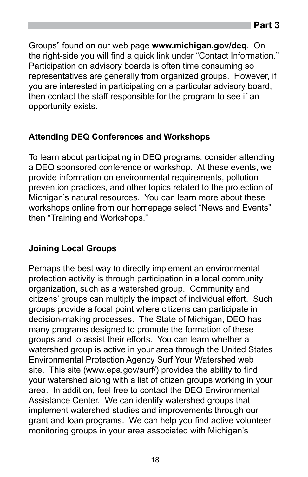Groups" found on our web page **www.michigan.gov/deq**. On the right-side you will find a quick link under "Contact Information." Participation on advisory boards is often time consuming so representatives are generally from organized groups. However, if you are interested in participating on a particular advisory board, then contact the staff responsible for the program to see if an opportunity exists.

# **Attending DEQ Conferences and Workshops**

To learn about participating in DEQ programs, consider attending a DEQ sponsored conference or workshop. At these events, we provide information on environmental requirements, pollution prevention practices, and other topics related to the protection of Michigan's natural resources. You can learn more about these workshops online from our homepage select "News and Events" then "Training and Workshops."

## **Joining Local Groups**

Perhaps the best way to directly implement an environmental protection activity is through participation in a local community organization, such as a watershed group. Community and citizens' groups can multiply the impact of individual effort. Such groups provide a focal point where citizens can participate in decision-making processes. The State of Michigan, DEQ has many programs designed to promote the formation of these groups and to assist their efforts. You can learn whether a watershed group is active in your area through the United States Environmental Protection Agency Surf Your Watershed web site. This site (www.epa.gov/surf/) provides the ability to find your watershed along with a list of citizen groups working in your area. In addition, feel free to contact the DEQ Environmental Assistance Center. We can identify watershed groups that implement watershed studies and improvements through our grant and loan programs. We can help you find active volunteer monitoring groups in your area associated with Michigan's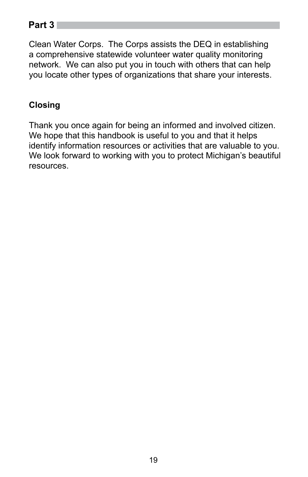Clean Water Corps. The Corps assists the DEQ in establishing a comprehensive statewide volunteer water quality monitoring network. We can also put you in touch with others that can help you locate other types of organizations that share your interests.

# **Closing**

Thank you once again for being an informed and involved citizen. We hope that this handbook is useful to you and that it helps identify information resources or activities that are valuable to you. We look forward to working with you to protect Michigan's beautiful resources.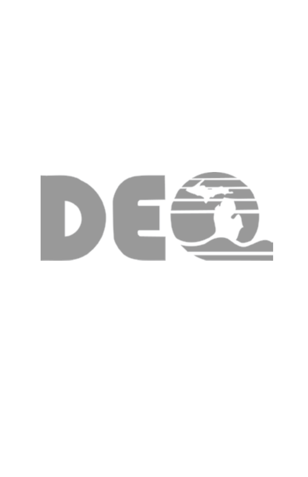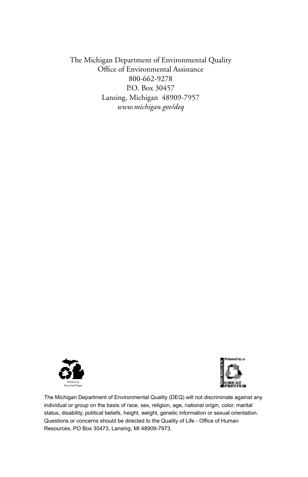The Michigan Department of Environmental Quality Office of Environmental Assistance 800-662-9278 P.O. Box 30457 Lansing, Michigan 48909-7957 *www.michigan.gov/deq*





The Michigan Department of Environmental Quality (DEQ) will not discriminate against any individual or group on the basis of race, sex, religion, age, national origin, color, marital status, disability, political beliefs, height, weight, genetic information or sexual orientation. Questions or concerns should be directed to the Quality of Life - Office of Human Resources, PO Box 30473, Lansing, MI 48909-7973.